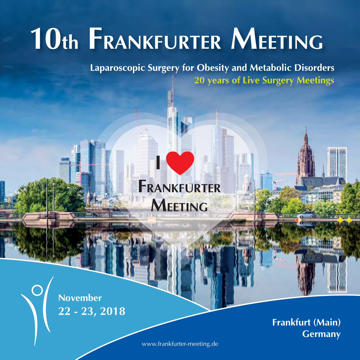# **10th FRANKFURTER MEETING**

**Laparoscopic Surgery for Obesity and Metabolic Disorders 20 years of Live Surgery Meetings**

# **FRANKFURTER MEETING**

**I**

**22 - 23, 2018 November**

**Frankfurt (Main) Germany**

www.frankfurter-meeting.de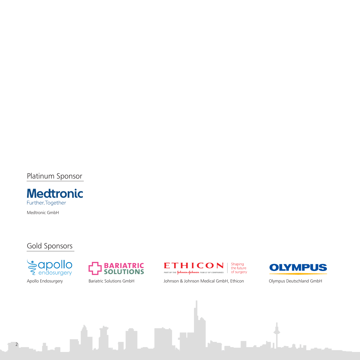Platinum Sponsor



### Gold Sponsors







**OLYMPUS** 

Apollo Endosurgery Bariatric Solutions GmbH Johnson & Johnson Medical GmbH, Ethicon Olympus Deutschland GmbH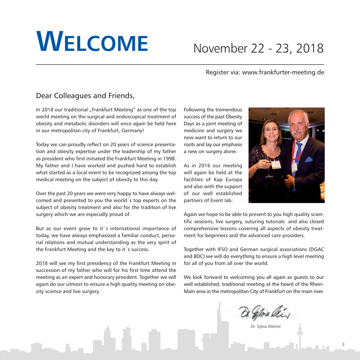# **WELCOME**

### November 22 - 23, 2018

### Register via: www.frankfurter-meeting.de

### Dear Colleagues and Friends,

In 2018 our traditional "Frankfurt Meeting" as one of the top world meeting on the surgical and endoscopical treatment of obesity and metabolic disorders will once again be held here in our metropolitan city of Frankfurt, Germany!

Today we can proudly reflect on 20 years of science presentation and obesity expertise under the leadership of my father as president who first initiated the Frankfurt Meeting in 1998. My father and I have worked and pushed hard to establish what started as a local event to be recognized among the top medical meeting on the subject of obesity to this day.

Over the past 20 years we were very happy to have always welcomed and presented to you the world`s top experts on the subject of obesity treatment and also for the tradition of live surgery which we are especially proud of.

But as our event grew to it`s international importance of today, we have always emphasized a familiar conduct, personal relations and mutual understanding as the very spirit of the Frankfurt Meeting and the key to it's success.

2018 will see my first presidency of the Frankfurt Meeting in succession of my father who will for his first time attend the meeting as an expert and honorary president. Together we will again do our utmost to ensure a high quality meeting on obesity science and live surgery.

Following the tremendous success of the past Obesity Days as a joint meeting of medicine and surgery we now want to return to our roots and lay our emphasis a new on surgery alone.

As in 2016 our meeting will again be held at the facilities of Kap Europa and also with the support of our well established partners of Event lab.



Again we hope to be able to present to you high quality scientific sessions, live surgery, suturing tutorials and also closed comprehensive lessons covering all aspects of obesity treatment for beginners and the advanced care providers.

Together with IFSO and German surgical associations (DGAC and BDC) we will do everything to ensure a high level meeting for all of you from all over the world.

We look forward to welcoming you all again as guests to our well established, traditional meeting at the heard of the Rhein-Main area in the metropolitan City of Frankfurt on the main river.

Dr. Sylvia Weiner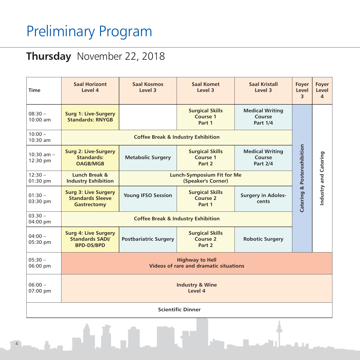# Preliminary Program

### **Thursday** November 22, 2018

| <b>Time</b>                | <b>Saal Horizont</b><br>Level 4                                            | Saal Kosmos<br>Level 3                                                                                          | Saal Komet<br>Level 3                        | Saal Kristall<br>Level 3                     | Foyer<br>Level<br>$\overline{3}$                     | Foyer<br>Level<br>$\overline{4}$ |
|----------------------------|----------------------------------------------------------------------------|-----------------------------------------------------------------------------------------------------------------|----------------------------------------------|----------------------------------------------|------------------------------------------------------|----------------------------------|
| $08:30 -$<br>$10:00$ am    | <b>Surg 1: Live-Surgery</b><br><b>Standards: RNYGB</b>                     | <b>Surgical Skills</b><br><b>Medical Writing</b><br>Course 1<br>Course<br>Part 1<br><b>Part 1/4</b>             |                                              |                                              |                                                      |                                  |
| $10:00 -$<br>10:30 am      | <b>Coffee Break &amp; Industry Exhibition</b>                              |                                                                                                                 |                                              |                                              |                                                      |                                  |
| $10:30$ am $-$<br>12:30 pm | <b>Surg 2: Live-Surgery</b><br><b>Standards:</b><br><b>OAGB/MGB</b>        | <b>Metabolic Surgery</b>                                                                                        | <b>Surgical Skills</b><br>Course 1<br>Part 2 | <b>Medical Writing</b><br>Course<br>Part 2/4 | Catering & Posterexhibition<br>Industry and Catering |                                  |
| $12:30 -$<br>01:30 pm      | Lunch Break &<br><b>Industry Exhibition</b>                                | <b>Lunch-Symposium Fit for Me</b><br>(Speaker's Corner)                                                         |                                              |                                              |                                                      |                                  |
| $01:30 -$<br>03:30 pm      | <b>Surg 3: Live Surgery</b><br><b>Standards Sleeve</b><br>Gastrectomy      | <b>Surgical Skills</b><br><b>Young IFSO Session</b><br><b>Surgery in Adoles-</b><br>Course 2<br>cents<br>Part 1 |                                              |                                              |                                                      |                                  |
| $03.30 -$<br>04:00 pm      | <b>Coffee Break &amp; Industry Exhibition</b>                              |                                                                                                                 |                                              |                                              |                                                      |                                  |
| $04:00 -$<br>05:30 pm      | <b>Surg 4: Live Surgery</b><br><b>Standards SADI/</b><br><b>BPD-DS/BPD</b> | <b>Postbariatric Surgery</b>                                                                                    | <b>Surgical Skills</b><br>Course 2<br>Part 2 | <b>Robotic Surgery</b>                       |                                                      |                                  |
| $05:30 -$<br>06:00 pm      | <b>Highway to Hell</b><br>Videos of rare and dramatic situations           |                                                                                                                 |                                              |                                              |                                                      |                                  |
| $06:00 -$<br>07:00 pm      | <b>Industry &amp; Wine</b><br>Level 4                                      |                                                                                                                 |                                              |                                              |                                                      |                                  |
| <b>Scientific Dinner</b>   |                                                                            |                                                                                                                 |                                              |                                              |                                                      |                                  |
|                            |                                                                            |                                                                                                                 |                                              |                                              |                                                      |                                  |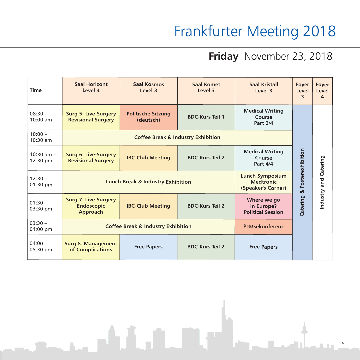# Frankfurter Meeting 2018

### **Friday** November 23, 2018

| <b>Time</b>                | <b>Saal Horizont</b><br>Level 4                              | <b>Saal Kosmos</b><br>Level 3                                                                                    | Saal Komet<br>Level 3  | <b>Saal Kristall</b><br>Level 3                       | Foyer<br>Level<br>3 | Fover<br>Level<br>$\overline{a}$ |
|----------------------------|--------------------------------------------------------------|------------------------------------------------------------------------------------------------------------------|------------------------|-------------------------------------------------------|---------------------|----------------------------------|
| $08:30 -$<br>$10:00$ am    | <b>Surg 5: Live-Surgery</b><br><b>Revisional Surgery</b>     | <b>Politische Sitzung</b><br>(deutsch)                                                                           | <b>BDC-Kurs Teil 1</b> | <b>Medical Writing</b><br>Course<br><b>Part 3/4</b>   |                     |                                  |
| $10:00 -$<br>$10:30$ am    | <b>Coffee Break &amp; Industry Exhibition</b>                |                                                                                                                  |                        |                                                       |                     |                                  |
| $10:30$ am $-$<br>12:30 pm | <b>Surg 6: Live-Surgery</b><br><b>Revisional Surgery</b>     | <b>IBC-Club Meeting</b>                                                                                          | <b>BDC-Kurs Teil 2</b> | <b>Medical Writing</b><br>Course<br><b>Part 4/4</b>   | Posterexhibition    |                                  |
| $12:30 -$<br>$01:30$ pm    |                                                              | <b>Lunch Symposium</b><br><b>Lunch Break &amp; Industry Exhibition</b><br><b>Medtronic</b><br>(Speaker's Corner) |                        |                                                       | ಹ                   | Industry and Catering            |
| $01:30 -$<br>03:30 pm      | <b>Surg 7: Live-Surgery</b><br><b>Endoscopic</b><br>Approach | <b>IBC-Club Meeting</b>                                                                                          | <b>BDC-Kurs Teil 2</b> | Where we go<br>in Europe?<br><b>Political Session</b> | Catering            |                                  |
| $03:30 -$<br>04:00 pm      | <b>Coffee Break &amp; Industry Exhibition</b>                |                                                                                                                  |                        | Pressekonferenz                                       |                     |                                  |
| $04:00 -$<br>05:30 pm      | <b>Surg 8: Management</b><br>of Complications                | <b>Free Papers</b>                                                                                               | <b>BDC-Kurs Teil 2</b> | <b>Free Papers</b>                                    |                     |                                  |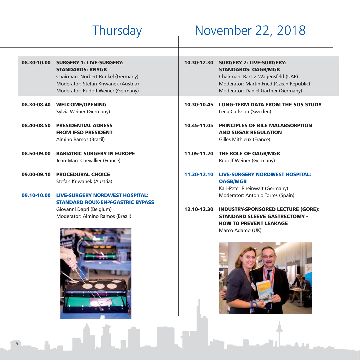## Thursday November 22, 2018

| 08.30-10.00                | <b>SURGERY 1: LIVE-SURGERY:</b><br><b>STANDARDS: RNYGB</b><br>Chairman: Norbert Runkel (Germany)<br>Moderator: Stefan Kriwanek (Austria)<br>Moderator: Rudolf Weiner (Germany) | 10.30-12.30 | <b>SURGERY 2: LIVE-SURGERY:</b><br><b>STANDARDS: OAGB/MGB</b><br>Chairman: Bart v. Wagensfeld (UAE)<br>Moderator: Martin Fried (Czech Republic)<br>Moderator: Daniel Gärtner (Germany) |
|----------------------------|--------------------------------------------------------------------------------------------------------------------------------------------------------------------------------|-------------|----------------------------------------------------------------------------------------------------------------------------------------------------------------------------------------|
| 08.30-08.40                | <b>WELCOME/OPENING</b><br>Sylvia Weiner (Germany)                                                                                                                              | 10.30-10.45 | <b>LONG-TERM DATA FROM THE SOS STUDY</b><br>Lena Carlsson (Sweden)                                                                                                                     |
| 08.40-08.50                | <b>PRESIDENTIAL ADRESS</b><br><b>FROM IFSO PRESIDENT</b><br>Almino Ramos (Brazil)                                                                                              | 10.45-11.05 | <b>PRINCIPLES OF BILE MALABSORPTION</b><br><b>AND SUGAR REGULATION</b><br>Gilles Mithieux (France)                                                                                     |
| 08.50-09.00                | <b>BARIATRIC SURGERY IN EUROPE</b><br>Jean-Marc Chevallier (France)                                                                                                            | 11.05-11.20 | THE ROLE OF OAGB/MGB<br>Rudolf Weiner (Germany)                                                                                                                                        |
| 09.00-09.10<br>09.10-10.00 | <b>PROCEDURAL CHOICE</b><br>Stefan Kriwanek (Austria)<br><b>LIVE-SURGERY NORDWEST HOSPITAL:</b>                                                                                | 11.30-12.10 | <b>LIVE-SURGERY NORDWEST HOSPITAL:</b><br><b>OAGB/MGB</b><br>Karl-Peter Rheinwalt (Germany)<br>Moderator: Antonio Torres (Spain)                                                       |
|                            | <b>STANDARD ROUX-EN-Y-GASTRIC BYPASS</b><br>Giovanni Dapri (Belgium)<br>Moderator: Almino Ramos (Brazil)                                                                       | 12.10-12.30 | <b>INDUSTRY-SPONSORED LECTURE (GORE):</b><br><b>STANDARD SLEEVE GASTRECTOMY -</b><br><b>HOW TO PREVENT LEAKAGE</b><br>Marco Adamo (UK)                                                 |

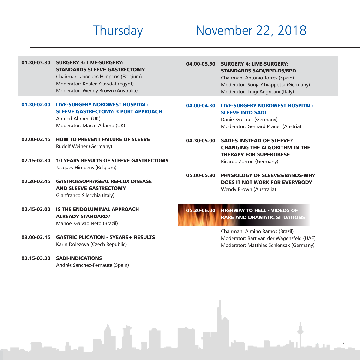### Thursday November 22, 2018

01.30-03.30 SURGERY 3: LIVE-SURGERY: STANDARDS SLEEVE GASTRECTOMY Chairman: Jacques Himpens (Belgium) Moderator: Khaled Gawdat (Egypt) Moderator: Wendy Brown (Australia)

### 01.30-02.00 LIVE-SURGERY NORDWEST HOSPITAL: SLEEVE GASTRECTOMY: 3 PORT APPROACH Ahmed Ahmed (UK) Moderator: Marco Adamo (UK)

- 02.00-02.15 HOW TO PREVENT FAILURE OF SLEEVE Rudolf Weiner (Germany)
- 02.15-02.30 10 YEARS RESULTS OF SLEEVE GASTRECTOMY Jacques Himpens (Belgium)
- 02.30-02.45 GASTROESOPHAGEAL REFLUX DISEASE AND SLEEVE GASTRECTOMY Gianfranco Silecchia (Italy)
- 02.45-03.00 IS THE ENDOLUMINAL APPROACH ALREADY STANDARD? Manoel Galvão Neto (Brazil)
- 03.00-03.15 GASTRIC PLICATION 5YEARS+ RESULTS Karin Dolezova (Czech Republic)
- 03.15-03.30 SADI-INDICATIONS Andrés Sánchez-Pernaute (Spain)

#### 04.00-05.30 SURGERY 4: LIVE-SURGERY: STANDARDS SADI/BPD-DS/BPD

Chairman: Antonio Torres (Spain) Moderator: Sonja Chiappetta (Germany) Moderator: Luigi Angrisani (Italy)

#### 04.00-04.30 LIVE-SURGERY NORDWEST HOSPITAL: SLEEVE INTO SADI

Daniel Gärtner (Germany) Moderator: Gerhard Prager (Austria)

04.30-05.00 SADI-S INSTEAD OF SLEEVE? CHANGING THE ALGORITHM IN THE THERAPY FOR SUPEROBESE Ricardo Zorron (Germany)

05.00-05.30 PHYSIOLOGY OF SLEEVES/BANDS-WHY DOES IT NOT WORK FOR EVERYBODY Wendy Brown (Australia)

### 05.30-06.00 HIGHWAY TO HELL - VIDEOS OF RARE AND DRAMATIC SITUATIONS

Chairman: Almino Ramos (Brazil) Moderator: Bart van der Wagensfeld (UAE) Moderator: Matthias Schlensak (Germany)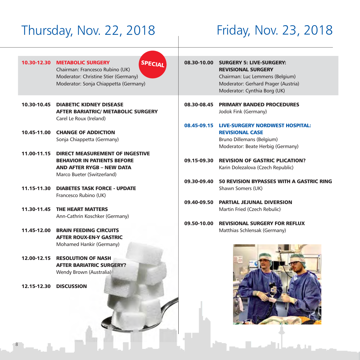### Thursday, Nov. 22, 2018 Friday, Nov. 23, 2018

| 10.30-12.30 | <b>SPECIAL</b><br><b>METABOLIC SURGERY</b><br>Chairman: Francesco Rubino (UK)<br>Moderator: Christine Stier (Germany)<br>Moderator: Sonja Chiappetta (Germany) |             | 08.30-10.00 SURGERY 5: LIVE-SURGERY:<br><b>REVISIONAL SURGERY</b><br>Chairman: Luc Lemmens (Belgium)<br>Moderator: Gerhard Prager (Austria)<br>Moderator: Cynthia Borg (UK) |
|-------------|----------------------------------------------------------------------------------------------------------------------------------------------------------------|-------------|-----------------------------------------------------------------------------------------------------------------------------------------------------------------------------|
| 10.30-10.45 | <b>DIABETIC KIDNEY DISEASE</b><br><b>AFTER BARIATRIC/ METABOLIC SURGERY</b><br>Carel Le Roux (Ireland)                                                         | 08.30-08.45 | <b>PRIMARY BANDED PROCEDURES</b><br>Jodok Fink (Germany)                                                                                                                    |
|             | 10.45-11.00 CHANGE OF ADDICTION<br>Sonja Chiappetta (Germany)                                                                                                  |             | 08.45-09.15 LIVE-SURGERY NORDWEST HOSPITAL:<br><b>REVISIONAL CASE</b><br>Bruno Dillemans (Belgium)<br>Moderator: Beate Herbig (Germany)                                     |
|             | 11.00-11.15 DIRECT MEASUREMENT OF INGESTIVE<br><b>BEHAVIOR IN PATIENTS BEFORE</b><br><b>AND AFTER RYGB - NEW DATA</b><br>Marco Bueter (Switzerland)            | 09.15-09.30 | <b>REVISION OF GASTRIC PLICATION?</b><br>Karin Dolezalova (Czech Republic)                                                                                                  |
| 11.15-11.30 | <b>DIABETES TASK FORCE - UPDATE</b><br>Francesco Rubino (UK)                                                                                                   | 09.30-09.40 | <b>50 REVISION BYPASSES WITH A GASTRIC RING</b><br>Shawn Somers (UK)                                                                                                        |
|             | 11.30-11.45 THE HEART MATTERS<br>Ann-Cathrin Koschker (Germany)                                                                                                | 09.40-09.50 | <b>PARTIAL JEJUNAL DIVERSION</b><br>Martin Fried (Czech Rebulic)                                                                                                            |
| 11.45-12.00 | <b>BRAIN FEEDING CIRCUITS</b><br><b>AFTER ROUX-EN-Y GASTRIC</b><br>Mohamed Hankir (Germany)                                                                    | 09.50-10.00 | <b>REVISIONAL SURGERY FOR REFLUX</b><br>Matthias Schlensak (Germany)                                                                                                        |
|             | 12.00-12.15 RESOLUTION OF NASH<br><b>AFTER BARIATRIC SURGERY?</b><br>Wendy Brown (Australia)                                                                   |             |                                                                                                                                                                             |
| 12.15-12.30 | <b>DISCUSSION</b>                                                                                                                                              |             |                                                                                                                                                                             |

TEL

ن<br>المحلة المحلة التي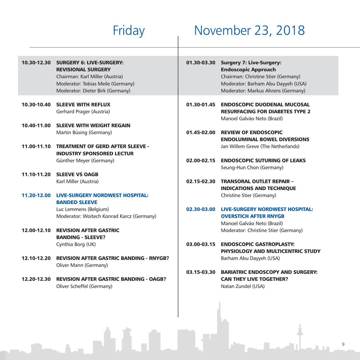## Friday November 23, 2018

| 10.30-12.30 | <b>SURGERY 6: LIVE-SURGERY:</b><br><b>REVISIONAL SURGERY</b><br>Chairman: Karl Miller (Austria)<br>Moderator: Tobias Meile (Germany)<br>Moderator: Dieter Birk (Germany) | 01.30-03.30 | <b>Surgery 7: Live-Surgery:</b><br><b>Endoscopic Approach</b><br>Chairman: Christine Stier (Germany)<br>Moderator: Barham Abu Dayyeh (USA)<br>Moderator: Markus Ahrens (Germany) |
|-------------|--------------------------------------------------------------------------------------------------------------------------------------------------------------------------|-------------|----------------------------------------------------------------------------------------------------------------------------------------------------------------------------------|
| 10.30-10.40 | <b>SLEEVE WITH REFLUX</b><br>Gerhard Prager (Austria)                                                                                                                    | 01.30-01.45 | <b>ENDOSCOPIC DUODENAL MUCOSAL</b><br><b>RESURFACING FOR DIABETES TYPE 2</b><br>Manoel Galvão Neto (Brazil)                                                                      |
| 10.40-11.00 | <b>SLEEVE WITH WEIGHT REGAIN</b>                                                                                                                                         |             |                                                                                                                                                                                  |
|             | Martin Büsing (Germany)                                                                                                                                                  | 01.45-02.00 | <b>REVIEW OF ENDOSCOPIC</b><br><b>ENDOLUMINAL BOWEL DIVERSIONS</b>                                                                                                               |
| 11.00-11.10 | <b>TREATMENT OF GERD AFTER SLEEVE -</b><br><b>INDUSTRY SPONSORED LECTUR</b>                                                                                              |             | Jan Willem Greve (The Netherlands)                                                                                                                                               |
|             | Günther Meyer (Germany)                                                                                                                                                  | 02.00-02.15 | <b>ENDOSCOPIC SUTURING OF LEAKS</b><br>Seung-Hun Chon (Germany)                                                                                                                  |
| 11.10-11.20 | <b>SLEEVE VS OAGB</b>                                                                                                                                                    |             |                                                                                                                                                                                  |
|             | Karl Miller (Austria)                                                                                                                                                    | 02.15-02.30 | <b>TRANSORAL OUTLET REPAIR -</b>                                                                                                                                                 |
|             |                                                                                                                                                                          |             | <b>INDICATIONS AND TECHNIQUE</b>                                                                                                                                                 |
|             | <b>LIVE-SURGERY NORDWEST HOSPITAL:</b>                                                                                                                                   |             |                                                                                                                                                                                  |
| 11.20-12.00 |                                                                                                                                                                          |             | Christine Stier (Germany)                                                                                                                                                        |
|             | <b>BANDED SLEEVE</b>                                                                                                                                                     |             |                                                                                                                                                                                  |
|             | Luc Lemmens (Belgium)                                                                                                                                                    | 02.30-03.00 | <b>LIVE-SURGERY NORDWEST HOSPITAL:</b>                                                                                                                                           |
|             | Moderator: Woitech Konrad Karcz (Germany)                                                                                                                                |             | <b>OVERSTICH AFTER RNYGB</b>                                                                                                                                                     |
|             |                                                                                                                                                                          |             | Manoel Galvão Neto (Brazil)                                                                                                                                                      |
| 12.00-12.10 | <b>REVISION AFTER GASTRIC</b>                                                                                                                                            |             | Moderator: Christine Stier (Germany)                                                                                                                                             |
|             | <b>BANDING - SLEEVE?</b>                                                                                                                                                 |             |                                                                                                                                                                                  |
|             | Cynthia Borg (UK)                                                                                                                                                        | 03.00-03.15 | <b>ENDOSCOPIC GASTROPLASTY:</b>                                                                                                                                                  |
|             |                                                                                                                                                                          |             | PHYSIOLOGY AND MULTICENTRIC STUDY                                                                                                                                                |
| 12.10-12.20 | <b>REVISION AFTER GASTRIC BANDING - RNYGB?</b>                                                                                                                           |             | Barham Abu Dayyeh (USA)                                                                                                                                                          |
|             | Oliver Mann (Germany)                                                                                                                                                    |             |                                                                                                                                                                                  |
|             |                                                                                                                                                                          | 03.15-03.30 | <b>BARIATRIC ENDOSCOPY AND SURGERY:</b>                                                                                                                                          |
| 12.20-12.30 | <b>REVISION AFTER GASTRIC BANDING - OAGB?</b>                                                                                                                            |             | <b>CAN THEY LIVE TOGETHER?</b>                                                                                                                                                   |
|             | Oliver Scheffel (Germany)                                                                                                                                                |             | Natan Zundel (USA)                                                                                                                                                               |
|             |                                                                                                                                                                          |             |                                                                                                                                                                                  |

n,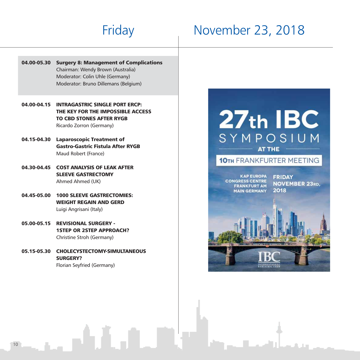# Friday November 23, 2018

- 04.00-05.30 Surgery 8: Management of Complications Chairman: Wendy Brown (Australia) Moderator: Colin Uhle (Germany) Moderator: Bruno Dillemans (Belgium)
- 04.00-04.15 INTRAGASTRIC SINGLE PORT ERCP: THE KEY FOR THE IMPOSSIBLE ACCESS TO CBD STONES AFTER RYGB Ricardo Zorron (Germany)
- 04.15-04.30 Laparoscopic Treatment of Gastro-Gastric Fistula After RYGB Maud Robert (France)
- 04.30-04.45 COST ANALYSIS OF LEAK AFTER SLEEVE GASTRECTOMY Ahmed Ahmed (UK)
- 04.45-05.00 1000 SLEEVE GASTRECTOMIES: WEIGHT REGAIN AND GERD Luigi Angrisani (Italy)
- 05.00-05.15 REVISIONAL SURGERY 1STEP OR 2STEP APPROACH? Christine Stroh (Germany)
- 05.15-05.30 CHOLECYSTECTOMY-SIMULTANEOUS SURGERY? Florian Seyfried (Germany)



**KAP EUROPA CONGRESS CENTRE FRANKFURT AM MAIN GERMANY** 

**FRIDAY NOVEMBER 23RD,** 2018

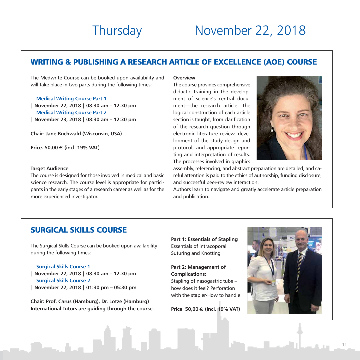### Thursday November 22, 2018

### WRITING & PUBLISHING A RESEARCH ARTICLE OF EXCELLENCE (AOE) COURSE

The Medwrite Course can be booked upon availability and will take place in two parts during the following times:

#### **Medical Writing Course Part 1**

**| November 22, 2018 | 08:30 am – 12:30 pm Medical Writing Course Part 2 | November 23, 2018 | 08:30 am – 12:30 pm**

**Chair: Jane Buchwald (Wisconsin, USA)**

**Price: 50,00** € **(incl. 19% VAT)**

#### **Target Audience**

The course is designed for those involved in medical and basic science research. The course level is appropriate for participants in the early stages of a research career as well as for the more experienced investigator.

#### **Overview**

The course provides comprehensive didactic training in the development of science's central document—the research article. The logical construction of each article section is taught, from clarification of the research question through electronic literature review, development of the study design and protocol, and appropriate reporting and interpretation of results. The processes involved in graphics



assembly, referencing, and abstract preparation are detailed, and careful attention is paid to the ethics of authorship, funding disclosure, and successful peer-review interaction.

Authors learn to navigate and greatly accelerate article preparation and publication.

### SURGICAL SKILLS COURSE

The Surgical Skills Course can be booked upon availability during the following times:

**Surgical Skills Course 1 | November 22, 2018 | 08:30 am – 12:30 pm Surgical Skills Course 2 | November 22, 2018 | 01:30 pm – 05:30 pm**

**Chair: Prof. Carus (Hamburg), Dr. Lotze (Hamburg) International Tutors are guiding through the course.** **Part 1: Essentials of Stapling** Essentials of intracoporal Suturing and Knotting

**Part 2: Management of Complications:**  Stapling of nasogastric tube – how does it feel? Perforation with the stapler-How to handle

**Price: 50,00** € **(incl. 19% VAT)**